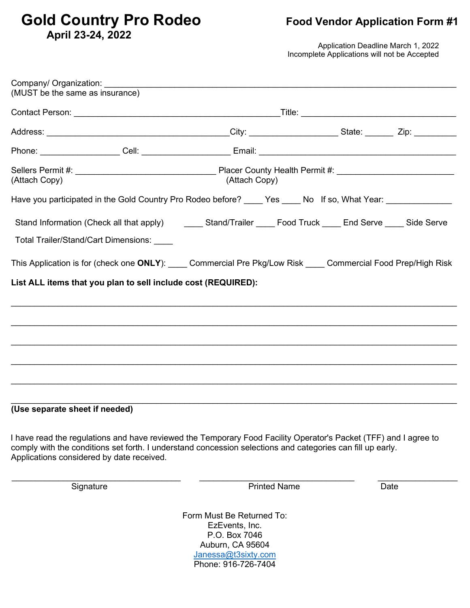# Gold Country Pro Rodeo **Food Vendor Application Form #1 April 23-24, 2022**

Application Deadline March 1, 2022 Incomplete Applications will not be Accepted

| (MUST be the same as insurance)                               |                                                                                                                                                                                                                                |  |      |  |  |
|---------------------------------------------------------------|--------------------------------------------------------------------------------------------------------------------------------------------------------------------------------------------------------------------------------|--|------|--|--|
|                                                               |                                                                                                                                                                                                                                |  |      |  |  |
|                                                               |                                                                                                                                                                                                                                |  |      |  |  |
|                                                               |                                                                                                                                                                                                                                |  |      |  |  |
| (Attach Copy)                                                 | (Attach Copy)                                                                                                                                                                                                                  |  |      |  |  |
|                                                               | Have you participated in the Gold Country Pro Rodeo before? ____ Yes ____ No If so, What Year: ______________                                                                                                                  |  |      |  |  |
|                                                               | Stand Information (Check all that apply) ________ Stand/Trailer _____ Food Truck _____ End Serve _____ Side Serve                                                                                                              |  |      |  |  |
| Total Trailer/Stand/Cart Dimensions: ____                     |                                                                                                                                                                                                                                |  |      |  |  |
|                                                               | This Application is for (check one ONLY): Commercial Pre Pkg/Low Risk Commercial Food Prep/High Risk                                                                                                                           |  |      |  |  |
| List ALL items that you plan to sell include cost (REQUIRED): |                                                                                                                                                                                                                                |  |      |  |  |
|                                                               |                                                                                                                                                                                                                                |  |      |  |  |
|                                                               |                                                                                                                                                                                                                                |  |      |  |  |
|                                                               |                                                                                                                                                                                                                                |  |      |  |  |
|                                                               |                                                                                                                                                                                                                                |  |      |  |  |
|                                                               |                                                                                                                                                                                                                                |  |      |  |  |
|                                                               |                                                                                                                                                                                                                                |  |      |  |  |
| (Use separate sheet if needed)                                |                                                                                                                                                                                                                                |  |      |  |  |
| Applications considered by date received.                     | I have read the regulations and have reviewed the Temporary Food Facility Operator's Packet (TFF) and I agree to<br>comply with the conditions set forth. I understand concession selections and categories can fill up early. |  |      |  |  |
| Signature                                                     | <b>Printed Name</b>                                                                                                                                                                                                            |  | Date |  |  |
|                                                               | Form Must Be Returned To:<br>EzEvents, Inc.<br>P.O. Box 7046<br>Auburn, CA 95604<br>Janessa@t3sixty.com<br>Phone: 916-726-7404                                                                                                 |  |      |  |  |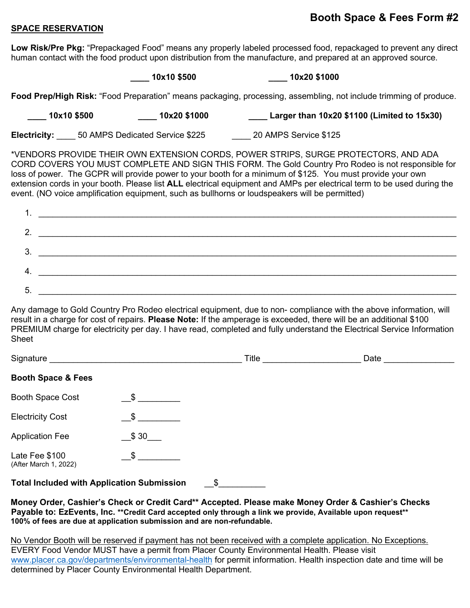## **Booth Space & Fees Form #2**

#### **SPACE RESERVATION**

**Low Risk/Pre Pkg:** "Prepackaged Food" means any properly labeled processed food, repackaged to prevent any direct human contact with the food product upon distribution from the manufacture, and prepared at an approved source.

**\_\_\_\_ 10x10 \$500 \_\_\_\_ 10x20 \$1000**

**Food Prep/High Risk:** "Food Preparation" means packaging, processing, assembling, not include trimming of produce.

**\_\_\_\_ 10x10 \$500 \_\_\_\_ 10x20 \$1000 \_\_\_\_ Larger than 10x20 \$1100 (Limited to 15x30) Electricity:** 50 AMPS Dedicated Service \$225 20 AMPS Service \$125

\*VENDORS PROVIDE THEIR OWN EXTENSION CORDS, POWER STRIPS, SURGE PROTECTORS, AND ADA CORD COVERS YOU MUST COMPLETE AND SIGN THIS FORM. The Gold Country Pro Rodeo is not responsible for loss of power. The GCPR will provide power to your booth for a minimum of \$125. You must provide your own extension cords in your booth. Please list **ALL** electrical equipment and AMPs per electrical term to be used during the event. (NO voice amplification equipment, such as bullhorns or loudspeakers will be permitted)

| 2    |                                                                                                                      |
|------|----------------------------------------------------------------------------------------------------------------------|
| 3.   | <u> 1989 - Johann Barbara, martxa alemaniar a</u>                                                                    |
|      | <u> 1989 - Johann Barbara, martin amerikan basar dan basa dalam basa dalam basa dalam basa dalam basa dalam basa</u> |
| . 5. |                                                                                                                      |

Any damage to Gold Country Pro Rodeo electrical equipment, due to non- compliance with the above information, will result in a charge for cost of repairs. **Please Note:** If the amperage is exceeded, there will be an additional \$100 PREMIUM charge for electricity per day. I have read, completed and fully understand the Electrical Service Information Sheet

| Signature                                               |                           | Title | Date |  |  |  |
|---------------------------------------------------------|---------------------------|-------|------|--|--|--|
| <b>Booth Space &amp; Fees</b>                           |                           |       |      |  |  |  |
| Booth Space Cost                                        | $\mathfrak{S}$            |       |      |  |  |  |
| <b>Electricity Cost</b>                                 | $\frac{1}{2}$             |       |      |  |  |  |
| <b>Application Fee</b>                                  | \$30                      |       |      |  |  |  |
| Late Fee \$100<br>(After March 1, 2022)                 | $\boldsymbol{\mathsf{S}}$ |       |      |  |  |  |
| <b>Total Included with Application Submission</b><br>\$ |                           |       |      |  |  |  |

**Money Order, Cashier's Check or Credit Card\*\* Accepted. Please make Money Order & Cashier's Checks Payable to: EzEvents, Inc. \*\*Credit Card accepted only through a link we provide, Available upon request\*\* 100% of fees are due at application submission and are non-refundable.**

No Vendor Booth will be reserved if payment has not been received with a complete application. No Exceptions.

EVERY Food Vendor MUST have a permit from Placer County Environmental Health. Please visit [www.placer.ca.gov/departments/environmental-health](http://www.placer.ca.gov/departments/environmental-health) for permit information. Health inspection date and time will be determined by Placer County Environmental Health Department.